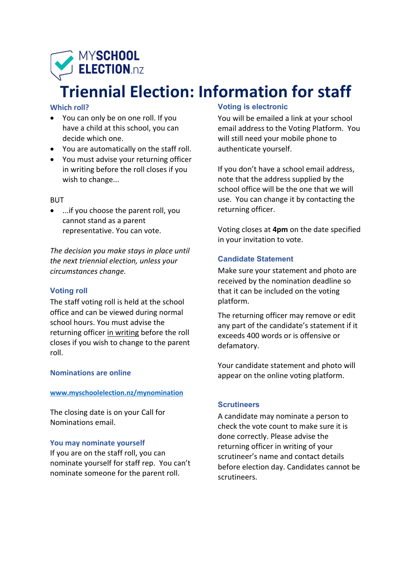

# **Triennial Election: Information for staff**

### **Which roll?**

- You can only be on one roll. If you have a child at this school, you can decide which one.
- You are automatically on the staff roll.
- You must advise your returning officer in writing before the roll closes if you wish to change...

### **BUT**

• ...if you choose the parent roll, you cannot stand as a parent representative. You can vote.

*The decision you make stays in place until the next triennial election, unless your circumstances change.*

### **Voting roll**

The staff voting roll is held at the school office and can be viewed during normal school hours. You must advise the returning officer in writing before the roll closes if you wish to change to the parent roll.

### **Nominations are online**

### **www.myschoolelection.nz/mynomination**

The closing date is on your Call for Nominations email.

### **You may nominate yourself**

If you are on the staff roll, you can nominate yourself for staff rep. You can't nominate someone for the parent roll.

# **Voting is electronic**

You will be emailed a link at your school email address to the Voting Platform. You will still need your mobile phone to authenticate yourself.

If you don't have a school email address, note that the address supplied by the school office will be the one that we will use. You can change it by contacting the returning officer.

Voting closes at **4pm** on the date specified in your invitation to vote.

### **Candidate Statement**

Make sure your statement and photo are received by the nomination deadline so that it can be included on the voting platform.

The returning officer may remove or edit any part of the candidate's statement if it exceeds 400 words or is offensive or defamatory.

Your candidate statement and photo will appear on the online voting platform.

### **Scrutineers**

A candidate may nominate a person to check the vote count to make sure it is done correctly. Please advise the returning officer in writing of your scrutineer's name and contact details before election day. Candidates cannot be scrutineers.